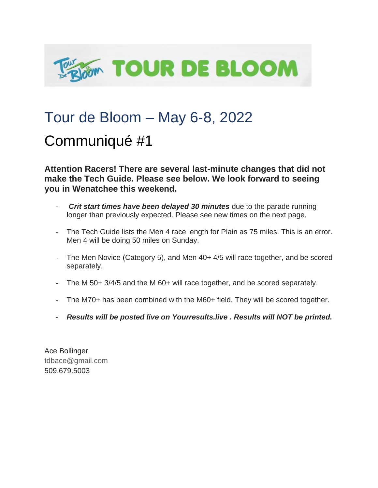

## Tour de Bloom – May 6-8, 2022

## Communiqué #1

**Attention Racers! There are several last-minute changes that did not make the Tech Guide. Please see below. We look forward to seeing you in Wenatchee this weekend.** 

- *Crit start times have been delayed 30 minutes* due to the parade running longer than previously expected. Please see new times on the next page.
- The Tech Guide lists the Men 4 race length for Plain as 75 miles. This is an error. Men 4 will be doing 50 miles on Sunday.
- The Men Novice (Category 5), and Men 40+ 4/5 will race together, and be scored separately.
- The M 50+ 3/4/5 and the M 60+ will race together, and be scored separately.
- The M70+ has been combined with the M60+ field. They will be scored together.
- *Results will be posted live on Yourresults.live . Results will NOT be printed.*

Ace Bollinger tdbace@gmail.com 509.679.5003